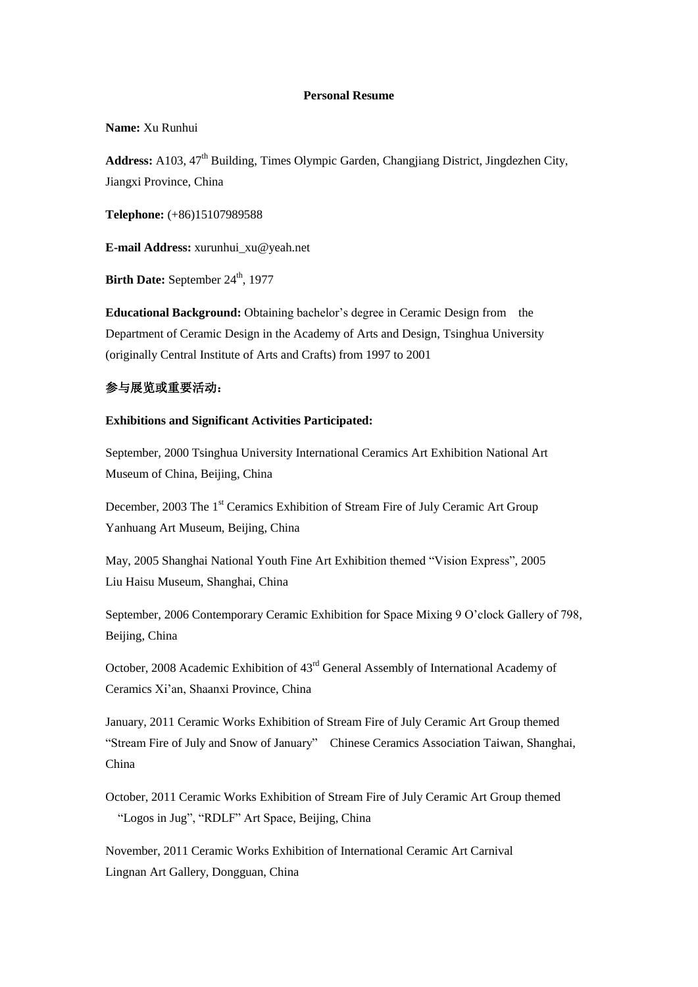#### **Personal Resume**

**Name:** Xu Runhui

Address: A103, 47<sup>th</sup> Building, Times Olympic Garden, Changjiang District, Jingdezhen City, Jiangxi Province, China

**Telephone:** (+86)15107989588

**E-mail Address:** [xurunhui\\_xu@yeah.net](mailto:xurunhui_xu@yeah.net)

**Birth Date:** September 24<sup>th</sup>, 1977

**Educational Background:** Obtaining bachelor's degree in Ceramic Design from the Department of Ceramic Design in the Academy of Arts and Design, Tsinghua University (originally Central Institute of Arts and Crafts) from 1997 to 2001

## 参与展览或重要活动:

#### **Exhibitions and Significant Activities Participated:**

September, 2000 Tsinghua University International Ceramics Art Exhibition National Art Museum of China, Beijing, China

December, 2003 The 1<sup>st</sup> Ceramics Exhibition of Stream Fire of July Ceramic Art Group Yanhuang Art Museum, Beijing, China

May, 2005 Shanghai National Youth Fine Art Exhibition themed "Vision Express", 2005 Liu Haisu Museum, Shanghai, China

September, 2006 Contemporary Ceramic Exhibition for Space Mixing 9 O'clock Gallery of 798, Beijing, China

October, 2008 Academic Exhibition of 43rd General Assembly of International Academy of Ceramics Xi'an, Shaanxi Province, China

January, 2011 Ceramic Works Exhibition of Stream Fire of July Ceramic Art Group themed "Stream Fire of July and Snow of January" Chinese Ceramics Association Taiwan, Shanghai, China

October, 2011 Ceramic Works Exhibition of Stream Fire of July Ceramic Art Group themed "Logos in Jug", "RDLF" Art Space, Beijing, China

November, 2011 Ceramic Works Exhibition of International Ceramic Art Carnival Lingnan Art Gallery, Dongguan, China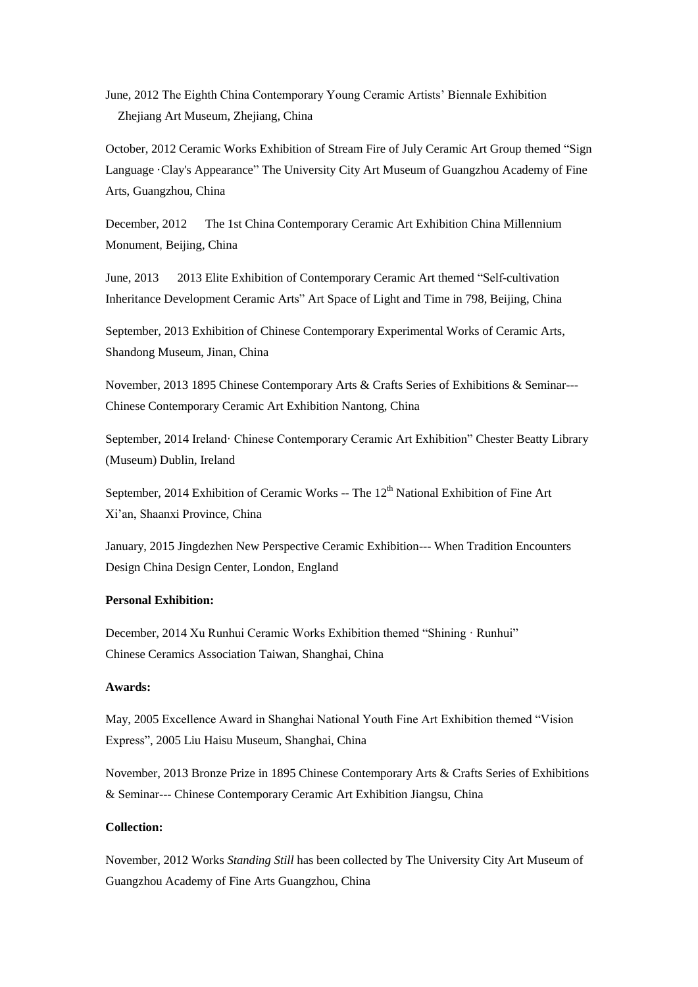June, 2012 The Eighth China Contemporary Young Ceramic Artists' Biennale Exhibition Zhejiang Art Museum, Zhejiang, China

October, 2012 Ceramic Works Exhibition of Stream Fire of July Ceramic Art Group themed ["Sign](http://www.amazon.cn/s?_encoding=UTF8&field-keywords=Hand%27s%20Language%20Clay%27s%20Appearance&search-alias=books) Language Clay's Appearance" The University City Art Museum of Guangzhou Academy of Fine Arts, Guangzhou, China

December, 2012 The 1st China Contemporary Ceramic Art Exhibition China Millennium Monument, Beijing, China

June, 2013 2013 Elite Exhibition of Contemporary Ceramic Art themed "Self-cultivation Inheritance Development Ceramic Arts" Art Space of Light and Time in 798, Beijing, China

September, 2013 Exhibition of Chinese Contemporary Experimental Works of Ceramic Arts, Shandong Museum, Jinan, China

November, 2013 1895 Chinese Contemporary Arts & Crafts Series of Exhibitions & Seminar--- Chinese Contemporary Ceramic Art Exhibition Nantong, China

September, 2014 Ireland· Chinese Contemporary Ceramic Art Exhibition" Chester Beatty Library (Museum) Dublin, Ireland

September, 2014 Exhibition of Ceramic Works -- The  $12<sup>th</sup>$  National Exhibition of Fine Art Xi'an, Shaanxi Province, China

January, 2015 Jingdezhen New Perspective Ceramic Exhibition--- When Tradition Encounters Design China Design Center, London, England

#### **Personal Exhibition:**

December, 2014 Xu Runhui Ceramic Works Exhibition themed "Shining · Runhui" Chinese Ceramics Association Taiwan, Shanghai, China

## **Awards:**

May, 2005 Excellence Award in Shanghai National Youth Fine Art Exhibition themed "Vision Express", 2005 Liu Haisu Museum, Shanghai, China

November, 2013 Bronze Prize in 1895 Chinese Contemporary Arts & Crafts Series of Exhibitions & Seminar--- Chinese Contemporary Ceramic Art Exhibition Jiangsu, China

# **Collection:**

November, 2012 Works *Standing Still* has been collected by The University City Art Museum of Guangzhou Academy of Fine Arts Guangzhou, China